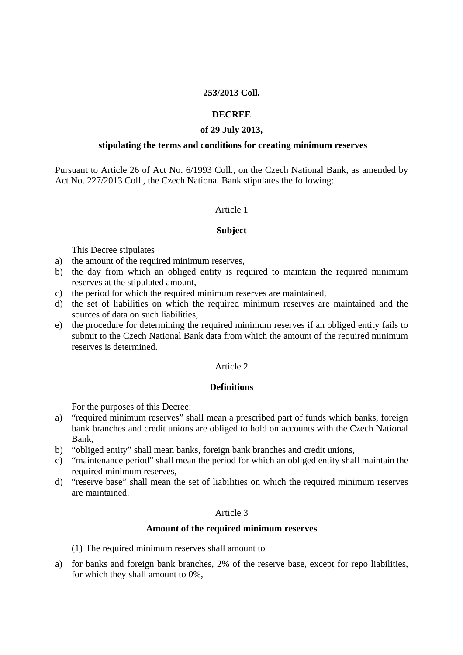# **253/2013 Coll.**

## **DECREE**

### **of 29 July 2013,**

### **stipulating the terms and conditions for creating minimum reserves**

Pursuant to Article 26 of Act No. 6/1993 Coll., on the Czech National Bank, as amended by Act No. 227/2013 Coll., the Czech National Bank stipulates the following:

## Article 1

### **Subject**

This Decree stipulates

- a) the amount of the required minimum reserves,
- b) the day from which an obliged entity is required to maintain the required minimum reserves at the stipulated amount,
- c) the period for which the required minimum reserves are maintained,
- d) the set of liabilities on which the required minimum reserves are maintained and the sources of data on such liabilities,
- e) the procedure for determining the required minimum reserves if an obliged entity fails to submit to the Czech National Bank data from which the amount of the required minimum reserves is determined.

# Article 2

## **Definitions**

For the purposes of this Decree:

- a) "required minimum reserves" shall mean a prescribed part of funds which banks, foreign bank branches and credit unions are obliged to hold on accounts with the Czech National Bank,
- b) "obliged entity" shall mean banks, foreign bank branches and credit unions,
- c) "maintenance period" shall mean the period for which an obliged entity shall maintain the required minimum reserves,
- d) "reserve base" shall mean the set of liabilities on which the required minimum reserves are maintained.

# Article 3

#### **Amount of the required minimum reserves**

(1) The required minimum reserves shall amount to

a) for banks and foreign bank branches, 2% of the reserve base, except for repo liabilities, for which they shall amount to 0%,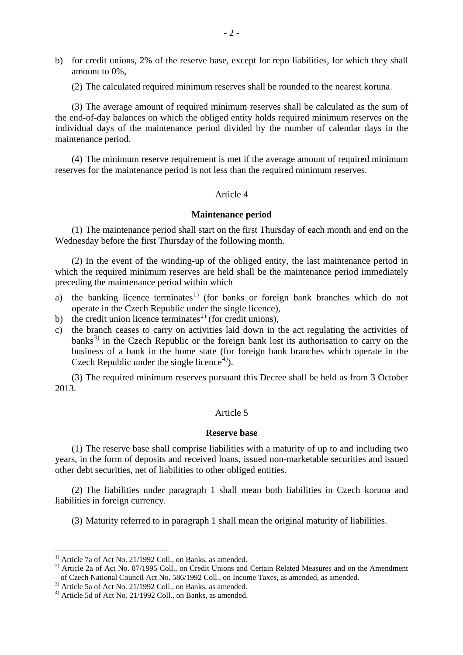- b) for credit unions, 2% of the reserve base, except for repo liabilities, for which they shall amount to 0%,
	- (2) The calculated required minimum reserves shall be rounded to the nearest koruna.

(3) The average amount of required minimum reserves shall be calculated as the sum of the end-of-day balances on which the obliged entity holds required minimum reserves on the individual days of the maintenance period divided by the number of calendar days in the maintenance period.

(4) The minimum reserve requirement is met if the average amount of required minimum reserves for the maintenance period is not less than the required minimum reserves.

### Article 4

#### **Maintenance period**

(1) The maintenance period shall start on the first Thursday of each month and end on the Wednesday before the first Thursday of the following month.

(2) In the event of the winding-up of the obliged entity, the last maintenance period in which the required minimum reserves are held shall be the maintenance period immediately preceding the maintenance period within which

- a) the banking licence terminates<sup>[1](#page-1-0))</sup> (for banks or foreign bank branches which do not operate in the Czech Republic under the single licence),
- b) the credit union licence terminates<sup>[2](#page-1-1))</sup> (for credit unions),
- c) the branch ceases to carry on activities laid down in the act regulating the activities of banks<sup>[3](#page-1-2))</sup> in the Czech Republic or the foreign bank lost its authorisation to carry on the business of a bank in the home state (for foreign bank branches which operate in the Czech Republic under the single licence<sup>[4](#page-1-3)</sup>).

(3) The required minimum reserves pursuant this Decree shall be held as from 3 October 2013.

## Article 5

#### **Reserve base**

(1) The reserve base shall comprise liabilities with a maturity of up to and including two years, in the form of deposits and received loans, issued non-marketable securities and issued other debt securities, net of liabilities to other obliged entities.

(2) The liabilities under paragraph 1 shall mean both liabilities in Czech koruna and liabilities in foreign currency.

(3) Maturity referred to in paragraph 1 shall mean the original maturity of liabilities.

1

<span id="page-1-0"></span> $1)$  Article 7a of Act No. 21/1992 Coll., on Banks, as amended.

<span id="page-1-1"></span><sup>&</sup>lt;sup>2)</sup> Article 2a of Act No. 87/1995 Coll., on Credit Unions and Certain Related Measures and on the Amendment of Czech National Council Act No. 586/1992 Coll., on Income Taxes, as amended, as amended.

<sup>&</sup>lt;sup>3)</sup> Article 5a of Act No. 21/1992 Coll., on Banks, as amended.

<span id="page-1-3"></span><span id="page-1-2"></span><sup>4)</sup> Article 5d of Act No. 21/1992 Coll., on Banks, as amended.